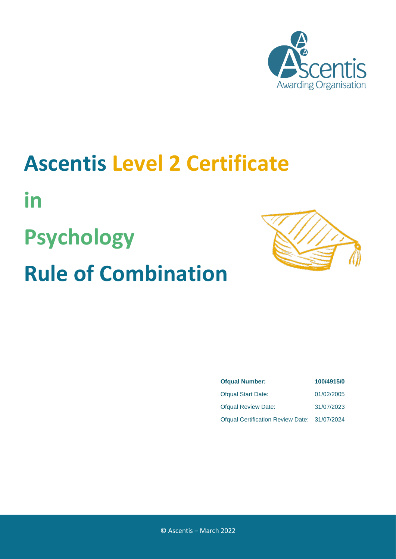

### **Ascentis Level 2 Certificate**

**in**

# **Psychology Rule of Combination**



| <b>Ofqual Number:</b>                        | 100/4915/0 |  |  |
|----------------------------------------------|------------|--|--|
| <b>Ofqual Start Date:</b>                    | 01/02/2005 |  |  |
| <b>Ofqual Review Date:</b>                   | 31/07/2023 |  |  |
| Ofqual Certification Review Date: 31/07/2024 |            |  |  |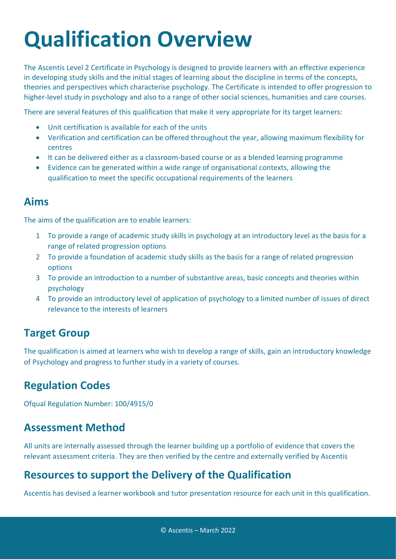## **Qualification Overview**

The Ascentis Level 2 Certificate in Psychology is designed to provide learners with an effective experience in developing study skills and the initial stages of learning about the discipline in terms of the concepts, theories and perspectives which characterise psychology. The Certificate is intended to offer progression to higher-level study in psychology and also to a range of other social sciences, humanities and care courses.

There are several features of this qualification that make it very appropriate for its target learners:

- Unit certification is available for each of the units
- Verification and certification can be offered throughout the year, allowing maximum flexibility for centres
- It can be delivered either as a classroom-based course or as a blended learning programme
- Evidence can be generated within a wide range of organisational contexts, allowing the qualification to meet the specific occupational requirements of the learners

#### **Aims**

The aims of the qualification are to enable learners:

- 1 To provide a range of academic study skills in psychology at an introductory level as the basis for a range of related progression options
- 2 To provide a foundation of academic study skills as the basis for a range of related progression options
- 3 To provide an introduction to a number of substantive areas, basic concepts and theories within psychology
- 4 To provide an introductory level of application of psychology to a limited number of issues of direct relevance to the interests of learners

#### **Target Group**

The qualification is aimed at learners who wish to develop a range of skills, gain an introductory knowledge of Psychology and progress to further study in a variety of courses.

#### **Regulation Codes**

Ofqual Regulation Number: 100/4915/0

#### **Assessment Method**

All units are internally assessed through the learner building up a portfolio of evidence that covers the relevant assessment criteria. They are then verified by the centre and externally verified by Ascentis

#### **Resources to support the Delivery of the Qualification**

Ascentis has devised a learner workbook and tutor presentation resource for each unit in this qualification.